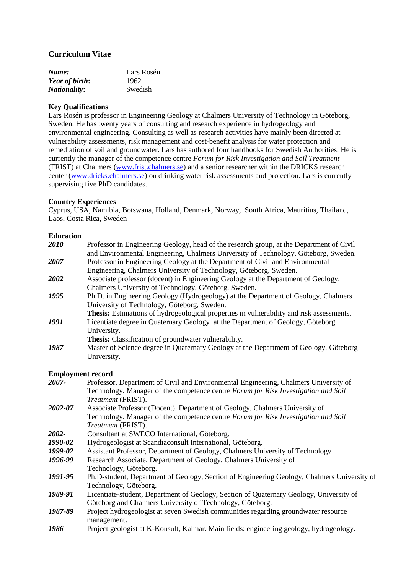## **Curriculum Vitae**

| Name:               | Lars Rosén |
|---------------------|------------|
| Year of birth:      | 1962       |
| <i>Nationality:</i> | Swedish    |

## **Key Qualifications**

Lars Rosén is professor in Engineering Geology at Chalmers University of Technology in Göteborg, Sweden. He has twenty years of consulting and research experience in hydrogeology and environmental engineering. Consulting as well as research activities have mainly been directed at vulnerability assessments, risk management and cost-benefit analysis for water protection and remediation of soil and groundwater. Lars has authored four handbooks for Swedish Authorities. He is currently the manager of the competence centre *Forum for Risk Investigation and Soil Treatment* (FRIST) at Chalmers [\(www.frist.chalmers.se\)](http://www.frist.chalmers.se/) and a senior researcher within the DRICKS research center [\(www.dricks.chalmers.se\)](http://www.dricks.chalmers.se/) on drinking water risk assessments and protection. Lars is currently supervising five PhD candidates.

## **Country Experiences**

Cyprus, USA, Namibia, Botswana, Holland, Denmark, Norway, South Africa, Mauritius, Thailand, Laos, Costa Rica, Sweden

### **Education**

| 2010 | Professor in Engineering Geology, head of the research group, at the Department of Civil<br>and Environmental Engineering, Chalmers University of Technology, Göteborg, Sweden. |
|------|---------------------------------------------------------------------------------------------------------------------------------------------------------------------------------|
| 2007 | Professor in Engineering Geology at the Department of Civil and Environmental                                                                                                   |
|      | Engineering, Chalmers University of Technology, Göteborg, Sweden.                                                                                                               |
| 2002 | Associate professor (docent) in Engineering Geology at the Department of Geology,                                                                                               |
|      | Chalmers University of Technology, Göteborg, Sweden.                                                                                                                            |
| 1995 | Ph.D. in Engineering Geology (Hydrogeology) at the Department of Geology, Chalmers                                                                                              |
|      | University of Technology, Göteborg, Sweden.                                                                                                                                     |
|      | <b>Thesis:</b> Estimations of hydrogeological properties in vulnerability and risk assessments.                                                                                 |
| 1991 | Licentiate degree in Quaternary Geology at the Department of Geology, Göteborg                                                                                                  |
|      | University.                                                                                                                                                                     |
|      | <b>Thesis:</b> Classification of groundwater vulnerability.                                                                                                                     |
| 1987 | Master of Science degree in Quaternary Geology at the Department of Geology, Göteborg                                                                                           |
|      | University.                                                                                                                                                                     |
|      |                                                                                                                                                                                 |

### **Employment record**

| 2007-   | Professor, Department of Civil and Environmental Engineering, Chalmers University of        |
|---------|---------------------------------------------------------------------------------------------|
|         | Technology. Manager of the competence centre Forum for Risk Investigation and Soil          |
|         | Treatment (FRIST).                                                                          |
| 2002-07 | Associate Professor (Docent), Department of Geology, Chalmers University of                 |
|         | Technology. Manager of the competence centre Forum for Risk Investigation and Soil          |
|         | Treatment (FRIST).                                                                          |
| 2002-   | Consultant at SWECO International, Göteborg.                                                |
| 1990-02 | Hydrogeologist at Scandiaconsult International, Göteborg.                                   |
| 1999-02 | Assistant Professor, Department of Geology, Chalmers University of Technology               |
| 1996-99 | Research Associate, Department of Geology, Chalmers University of                           |
|         | Technology, Göteborg.                                                                       |
| 1991-95 | Ph.D-student, Department of Geology, Section of Engineering Geology, Chalmers University of |
|         | Technology, Göteborg.                                                                       |
| 1989-91 | Licentiate-student, Department of Geology, Section of Quaternary Geology, University of     |
|         | Göteborg and Chalmers University of Technology, Göteborg.                                   |
| 1987-89 | Project hydrogeologist at seven Swedish communities regarding groundwater resource          |
|         | management.                                                                                 |

*1986* Project geologist at K-Konsult, Kalmar. Main fields: engineering geology, hydrogeology.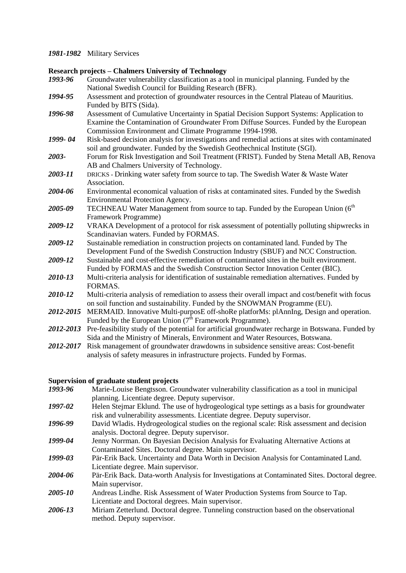#### *1981-1982* Military Services

#### **Research projects – Chalmers University of Technology**

- *1993-96* Groundwater vulnerability classification as a tool in municipal planning. Funded by the National Swedish Council for Building Research (BFR).
- *1994-95* Assessment and protection of groundwater resources in the Central Plateau of Mauritius. Funded by BITS (Sida).
- *1996-98* Assessment of Cumulative Uncertainty in Spatial Decision Support Systems: Application to Examine the Contamination of Groundwater From Diffuse Sources. Funded by the European Commission Environment and Climate Programme 1994-1998.
- *1999- 04* Risk-based decision analysis for investigations and remedial actions at sites with contaminated soil and groundwater. Funded by the Swedish Geothechnical Institute (SGI).
- *2003-* Forum for Risk Investigation and Soil Treatment (FRIST). Funded by Stena Metall AB, Renova AB and Chalmers University of Technology.
- *2003-11* DRICKS *-* Drinking water safety from source to tap. The Swedish Water & Waste Water Association.
- *2004-06* Environmental economical valuation of risks at contaminated sites. Funded by the Swedish Environmental Protection Agency.
- 2005-09 TECHNEAU Water Management from source to tap. Funded by the European Union (6<sup>th</sup>) Framework Programme)
- *2009-12* VRAKA Development of a protocol for risk assessment of potentially polluting shipwrecks in Scandinavian waters. Funded by FORMAS.
- 2009-12 Sustainable remediation in construction projects on contaminated land. Funded by The Development Fund of the Swedish Construction Industry (SBUF) and NCC Construction.
- 2009-12 Sustainable and cost-effective remediation of contaminated sites in the built environment. Funded by FORMAS and the Swedish Construction Sector Innovation Center (BIC).
- *2010-13* Multi-criteria analysis for identification of sustainable remediation alternatives. Funded by FORMAS.
- 2010-12 Multi-criteria analysis of remediation to assess their overall impact and cost/benefit with focus on soil function and sustainability. Funded by the SNOWMAN Programme (EU).
- *2012-2015* MERMAID. Innovative Multi-purposE off-shoRe platforMs: plAnnIng, Design and operation. Funded by the European Union  $(7^{\text{th}})$  Framework Programme).
- 2012-2013 Pre-feasibility study of the potential for artificial groundwater recharge in Botswana. Funded by Sida and the Ministry of Minerals, Environment and Water Resources, Botswana.
- *2012-2017* Risk management of groundwater drawdowns in subsidence sensitive areas: Cost-benefit analysis of safety measures in infrastructure projects. Funded by Formas.

#### **Supervision of graduate student projects**

- *1993-96* Marie-Louise Bengtsson. Groundwater vulnerability classification as a tool in municipal planning. Licentiate degree. Deputy supervisor.
- *1997-02* Helen Stejmar Eklund. The use of hydrogeological type settings as a basis for groundwater risk and vulnerability assessments. Licentiate degree. Deputy supervisor.
- *1996-99* David Wladis. Hydrogeological studies on the regional scale: Risk assessment and decision analysis. Doctoral degree. Deputy supervisor.
- *1999-04* Jenny Norrman. On Bayesian Decision Analysis for Evaluating Alternative Actions at Contaminated Sites. Doctoral degree. Main supervisor.
- *1999-03* Pär-Erik Back. Uncertainty and Data Worth in Decision Analysis for Contaminated Land. Licentiate degree. Main supervisor.
- *2004-06* Pär-Erik Back. Data-worth Analysis for Investigations at Contaminated Sites. Doctoral degree. Main supervisor.
- *2005-10* Andreas Lindhe. Risk Assessment of Water Production Systems from Source to Tap. Licentiate and Doctoral degrees. Main supervisor.
- *2006-13* Miriam Zetterlund. Doctoral degree. Tunneling construction based on the observational method. Deputy supervisor.